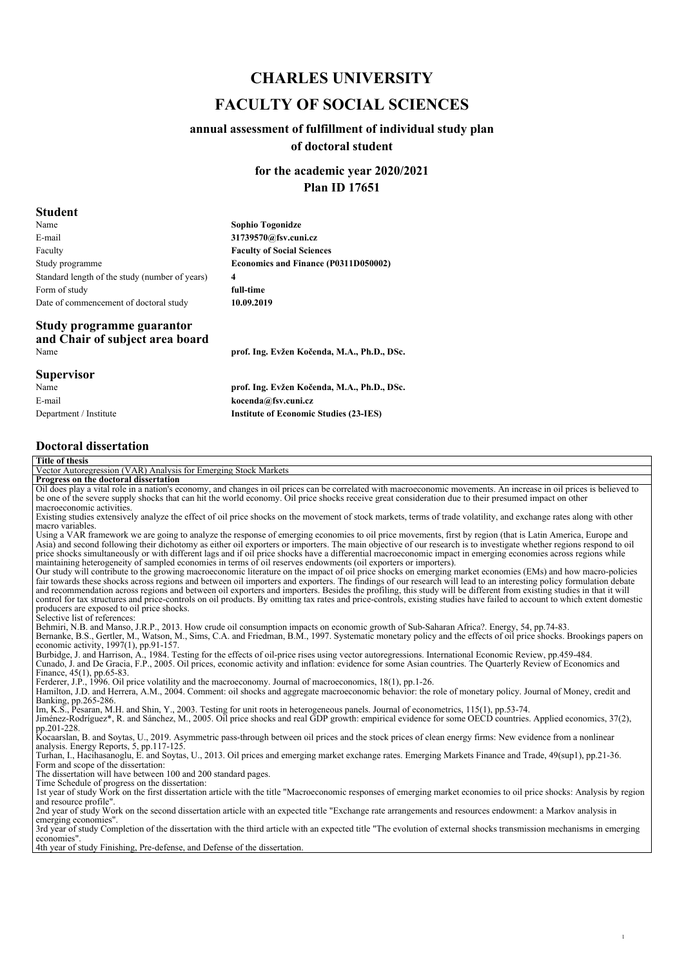# *CHARLES UNIVERSITY FACULTY OF SOCIAL SCIENCES*

### *annual assessment of fulfillment of individual study plan of doctoral student*

*for the academic year 2020/2021 Plan ID 17651*

#### *Student*

| wuuvii                                                               |                                             |
|----------------------------------------------------------------------|---------------------------------------------|
| Name                                                                 | <b>Sophio Togonidze</b>                     |
| E-mail                                                               | 31739570@fsv.cuni.cz                        |
| Faculty                                                              | <b>Faculty of Social Sciences</b>           |
| Study programme                                                      | Economics and Finance (P0311D050002)        |
| Standard length of the study (number of years)                       | 4                                           |
| Form of study                                                        | full-time                                   |
| Date of commencement of doctoral study                               | 10.09.2019                                  |
| Study programme guarantor<br>and Chair of subject area board<br>Name | prof. Ing. Evžen Kočenda, M.A., Ph.D., DSc. |
| $C_{\text{max}}$ out does                                            |                                             |

#### *Supervisor*

*Name E-mail Department / Institute*

*prof. Ing. Evžen Kočenda, M.A., Ph.D., DSc. kocenda@fsv.cuni.cz Institute of Economic Studies (23-IES)*

### *Doctoral dissertation*

| <b>Title of thesis</b>                                                                                                                                                                                 |
|--------------------------------------------------------------------------------------------------------------------------------------------------------------------------------------------------------|
| Vector Autoregression (VAR) Analysis for Emerging Stock Markets                                                                                                                                        |
| Progress on the doctoral dissertation                                                                                                                                                                  |
| Oil does play a vital role in a nation's economy, and changes in oil prices can be correlated with macroeconomic movements. An increase in oil prices is believed to                                   |
| be one of the severe supply shocks that can hit the world economy. Oil price shocks receive great consideration due to their presumed impact on other                                                  |
| macroeconomic activities.                                                                                                                                                                              |
| Existing studies extensively analyze the effect of oil price shocks on the movement of stock markets, terms of trade volatility, and exchange rates along with other                                   |
| macro variables.<br>Using a VAR framework we are going to analyze the response of emerging economies to oil price movements, first by region (that is Latin America, Europe and                        |
| Asia) and second following their dichotomy as either oil exporters or importers. The main objective of our research is to investigate whether regions respond to oil                                   |
| price shocks simultaneously or with different lags and if oil price shocks have a differential macroeconomic impact in emerging economies across regions while                                         |
| maintaining heterogeneity of sampled economies in terms of oil reserves endowments (oil exporters or importers).                                                                                       |
| Our study will contribute to the growing macroeconomic literature on the impact of oil price shocks on emerging market economies (EMs) and how macro-policies                                          |
| fair towards these shocks across regions and between oil importers and exporters. The findings of our research will lead to an interesting policy formulation debate                                   |
| and recommendation across regions and between oil exporters and importers. Besides the profiling, this study will be different from existing studies in that it will                                   |
| control for tax structures and price-controls on oil products. By omitting tax rates and price-controls, existing studies have failed to account to which extent domestic                              |
| producers are exposed to oil price shocks.                                                                                                                                                             |
| Selective list of references:                                                                                                                                                                          |
| Behmiri, N.B. and Manso, J.R.P., 2013. How crude oil consumption impacts on economic growth of Sub-Saharan Africa?. Energy, 54, pp.74-83.                                                              |
| Bernanke, B.S., Gertler, M., Watson, M., Sims, C.A. and Friedman, B.M., 1997. Systematic monetary policy and the effects of oil price shocks. Brookings papers on                                      |
| economic activity, $1997(1)$ , pp.91-157.<br>Burbidge, J. and Harrison, A., 1984. Testing for the effects of oil-price rises using vector autoregressions. International Economic Review, pp.459-484.  |
| Cunado, J. and De Gracia, F.P., 2005. Oil prices, economic activity and inflation: evidence for some Asian countries. The Quarterly Review of Economics and                                            |
| Finance, $45(1)$ , pp.65-83.                                                                                                                                                                           |
| Ferderer, J.P., 1996. Oil price volatility and the macroeconomy. Journal of macroeconomics, 18(1), pp.1-26.                                                                                            |
| Hamilton, J.D. and Herrera, A.M., 2004. Comment: oil shocks and aggregate macroeconomic behavior: the role of monetary policy. Journal of Money, credit and                                            |
| Banking, pp.265-286.                                                                                                                                                                                   |
| Im, K.S., Pesaran, M.H. and Shin, Y., 2003. Testing for unit roots in heterogeneous panels. Journal of econometrics, 115(1), pp.53-74.                                                                 |
| Jiménez-Rodríguez*, R. and Sánchez, M., 2005. Oil price shocks and real GDP growth: empirical evidence for some OECD countries. Applied economics, 37(2),                                              |
| pp.201-228.                                                                                                                                                                                            |
| Kocaarslan, B. and Soytas, U., 2019. Asymmetric pass-through between oil prices and the stock prices of clean energy firms: New evidence from a nonlinear                                              |
| analysis. Energy Reports, 5, pp.117-125.<br>Turhan, I., Hacihasanoglu, E. and Soytas, U., 2013. Oil prices and emerging market exchange rates. Emerging Markets Finance and Trade, 49(sup1), pp.21-36. |
| Form and scope of the dissertation:                                                                                                                                                                    |
| The dissertation will have between 100 and 200 standard pages.                                                                                                                                         |
| Time Schedule of progress on the dissertation:                                                                                                                                                         |
| 1st year of study Work on the first dissertation article with the title "Macroeconomic responses of emerging market economies to oil price shocks: Analysis by region                                  |
| and resource profile".                                                                                                                                                                                 |
| 2nd year of study Work on the second dissertation article with an expected title "Exchange rate arrangements and resources endowment: a Markov analysis in                                             |
| emerging economies".                                                                                                                                                                                   |
| 3rd year of study Completion of the dissertation with the third article with an expected title "The evolution of external shocks transmission mechanisms in emerging                                   |
| economies".                                                                                                                                                                                            |
| 4th year of study Finishing, Pre-defense, and Defense of the dissertation.                                                                                                                             |
|                                                                                                                                                                                                        |
|                                                                                                                                                                                                        |
|                                                                                                                                                                                                        |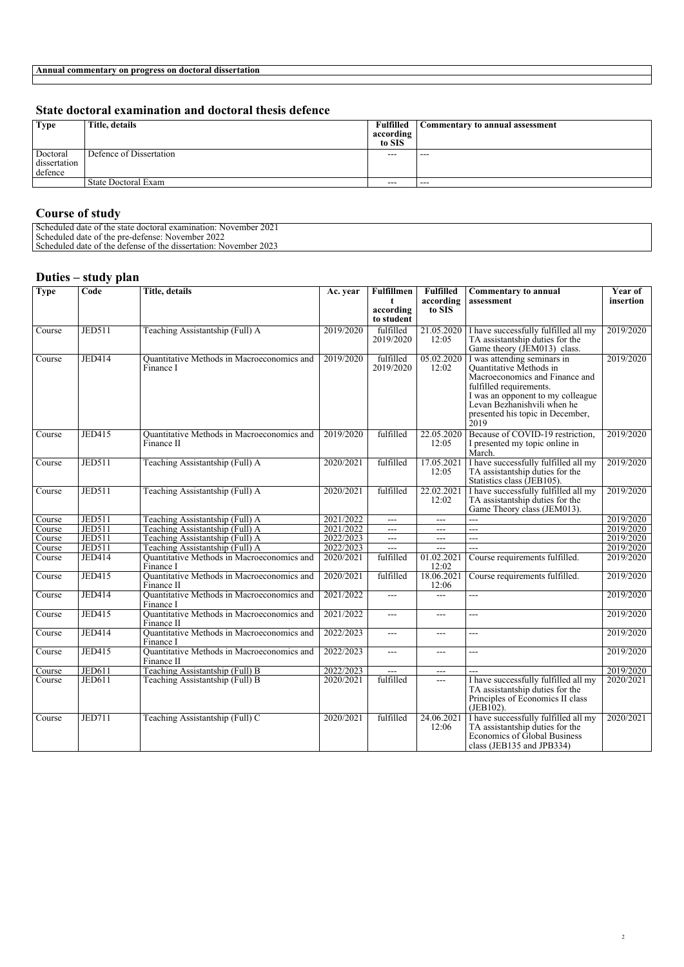#### *State doctoral examination and doctoral thesis defence*

| <b>Type</b>                         | Title, details          | Fulfilled<br>according<br>to SIS | Commentary to annual assessment |
|-------------------------------------|-------------------------|----------------------------------|---------------------------------|
| Doctoral<br>dissertation<br>defence | Defence of Dissertation | $---$                            | $- - -$                         |
|                                     | State Doctoral Exam     | $- - -$                          | $- - -$                         |
|                                     |                         |                                  |                                 |

#### *Course of study*

*Scheduled date of the state doctoral examination: November 2021 Scheduled date of the pre-defense: November 2022 Scheduled date of the defense of the dissertation: November 2023* 

#### *Duties – study plan*

| <b>Type</b> | Code          | <b>Title, details</b>                                    | Ac. year  | <b>Fulfillmen</b><br>t  | <b>Fulfilled</b><br>according | <b>Commentary to annual</b><br>assessment                                                                                                                                                                                           | Year of<br>insertion |
|-------------|---------------|----------------------------------------------------------|-----------|-------------------------|-------------------------------|-------------------------------------------------------------------------------------------------------------------------------------------------------------------------------------------------------------------------------------|----------------------|
|             |               |                                                          |           | according<br>to student | to SIS                        |                                                                                                                                                                                                                                     |                      |
| Course      | <b>JED511</b> | Teaching Assistantship (Full) A                          | 2019/2020 | fulfilled<br>2019/2020  | 21.05.2020<br>12:05           | I have successfully fulfilled all my<br>TA assistantship duties for the<br>Game theory (JEM013) class.                                                                                                                              | 2019/2020            |
| Course      | <b>JED414</b> | Quantitative Methods in Macroeconomics and<br>Finance I  | 2019/2020 | fulfilled<br>2019/2020  | 05.02.2020<br>12:02           | I was attending seminars in<br>Quantitative Methods in<br>Macroeconomics and Finance and<br>fulfilled requirements.<br>I was an opponent to my colleague<br>Levan Bezhanishvili when he<br>presented his topic in December,<br>2019 | 2019/2020            |
| Course      | <b>JED415</b> | Quantitative Methods in Macroeconomics and<br>Finance II | 2019/2020 | fulfilled               | 22.05.2020<br>12:05           | Because of COVID-19 restriction.<br>I presented my topic online in<br>March.                                                                                                                                                        | 2019/2020            |
| Course      | <b>JED511</b> | Teaching Assistantship (Full) A                          | 2020/2021 | fulfilled               | 17.05.2021<br>12:05           | I have successfully fulfilled all my<br>TA assistantship duties for the<br>Statistics class (JEB105).                                                                                                                               | 2019/2020            |
| Course      | <b>JED511</b> | Teaching Assistantship (Full) A                          | 2020/2021 | fulfilled               | 22.02.2021<br>12:02           | I have successfully fulfilled all my<br>TA assistantship duties for the<br>Game Theory class (JEM013).                                                                                                                              | 2019/2020            |
| Course      | <b>JED511</b> | Teaching Assistantship (Full) A                          | 2021/2022 | $---$                   | $\overline{a}$                | шш.,                                                                                                                                                                                                                                | 2019/2020            |
| Course      | <b>JED511</b> | Teaching Assistantship (Full) A                          | 2021/2022 | $---$                   | $---$                         | шш.,                                                                                                                                                                                                                                | 2019/2020            |
| Course      | <b>JED511</b> | Teaching Assistantship (Full) A                          | 2022/2023 | $\overline{a}$          | $\overline{a}$                |                                                                                                                                                                                                                                     | 2019/2020            |
| Course      | <b>JED511</b> | Teaching Assistantship (Full) A                          | 2022/2023 | $---$                   | $---$                         | ---                                                                                                                                                                                                                                 | 2019/2020            |
| Course      | JED414        | Quantitative Methods in Macroeconomics and<br>Finance I  | 2020/2021 | fulfilled               | 01.02.2021<br>12:02           | Course requirements fulfilled.                                                                                                                                                                                                      | 2019/2020            |
| Course      | <b>JED415</b> | Quantitative Methods in Macroeconomics and<br>Finance II | 2020/2021 | fulfilled               | 18.06.2021<br>12:06           | Course requirements fulfilled.                                                                                                                                                                                                      | 2019/2020            |
| Course      | <b>JED414</b> | Quantitative Methods in Macroeconomics and<br>Finance I  | 2021/2022 | $---$                   | $---$                         | ---                                                                                                                                                                                                                                 | 2019/2020            |
| Course      | <b>JED415</b> | Quantitative Methods in Macroeconomics and<br>Finance II | 2021/2022 | $---$                   | $\overline{a}$                | $\overline{a}$                                                                                                                                                                                                                      | 2019/2020            |
| Course      | <b>JED414</b> | Quantitative Methods in Macroeconomics and<br>Finance I  | 2022/2023 | $---$                   | $\cdots$                      | ---                                                                                                                                                                                                                                 | 2019/2020            |
| Course      | JED415        | Quantitative Methods in Macroeconomics and<br>Finance II | 2022/2023 | $\overline{a}$          | $\overline{a}$                | $\overline{a}$                                                                                                                                                                                                                      | 2019/2020            |
| Course      | <b>JED611</b> | Teaching Assistantship (Full) B                          | 2022/2023 | ---                     | $---$                         | ---                                                                                                                                                                                                                                 | 2019/2020            |
| Course      | <b>JED611</b> | Teaching Assistantship (Full) B                          | 2020/2021 | fulfilled               | $\overline{a}$                | I have successfully fulfilled all my<br>TA assistantship duties for the<br>Principles of Economics II class<br>(JEB102).                                                                                                            | 2020/2021            |
| Course      | JED711        | Teaching Assistantship (Full) C                          | 2020/2021 | fulfilled               | 24.06.2021<br>12:06           | I have successfully fulfilled all my<br>TA assistantship duties for the<br>Economics of Global Business<br>class (JEB135 and JPB334)                                                                                                | 2020/2021            |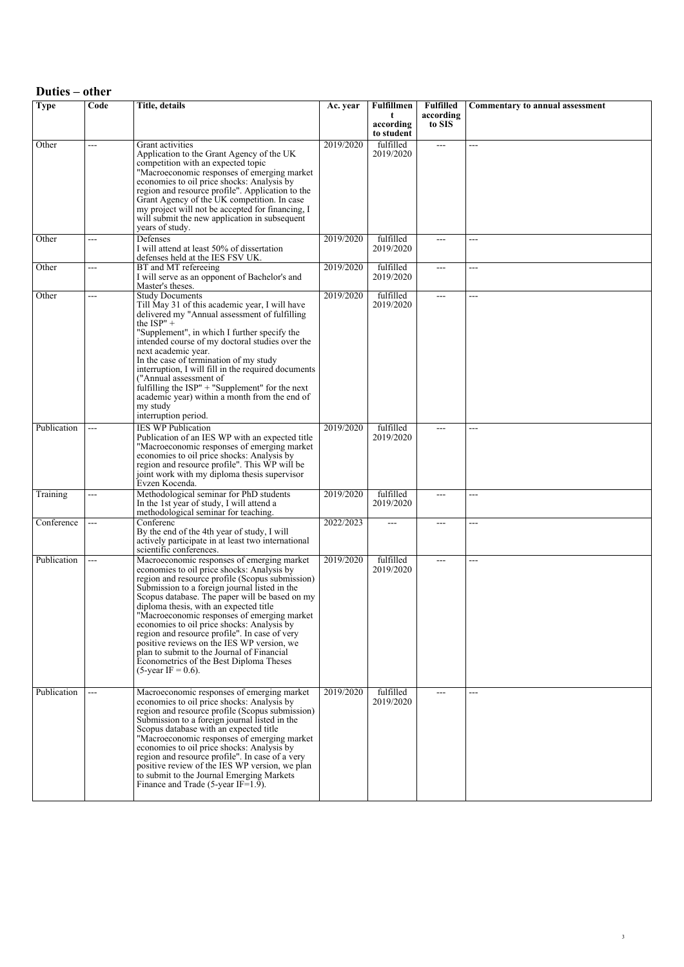| Duties – other |       |                                                                                                                                                                                                                                                                                                                                                                                                                                                                                                                                                                                                         |           |                         |                               |                                        |
|----------------|-------|---------------------------------------------------------------------------------------------------------------------------------------------------------------------------------------------------------------------------------------------------------------------------------------------------------------------------------------------------------------------------------------------------------------------------------------------------------------------------------------------------------------------------------------------------------------------------------------------------------|-----------|-------------------------|-------------------------------|----------------------------------------|
| Type           | Code  | <b>Title, details</b>                                                                                                                                                                                                                                                                                                                                                                                                                                                                                                                                                                                   | Ac. year  | <b>Fulfillmen</b><br>t  | <b>Fulfilled</b><br>according | <b>Commentary to annual assessment</b> |
|                |       |                                                                                                                                                                                                                                                                                                                                                                                                                                                                                                                                                                                                         |           | according<br>to student | to SIS                        |                                        |
| Other          | ---   | Grant activities<br>Application to the Grant Agency of the UK<br>competition with an expected topic<br>"Macroeconomic responses of emerging market<br>economies to oil price shocks: Analysis by<br>region and resource profile". Application to the<br>Grant Agency of the UK competition. In case<br>my project will not be accepted for financing, I<br>will submit the new application in subsequent<br>years of study.                                                                                                                                                                             | 2019/2020 | fulfilled<br>2019/2020  | $\sim$ $\sim$ $\sim$          | ---                                    |
| Other          | ---   | Defenses<br>I will attend at least 50% of dissertation<br>defenses held at the IES FSV UK.                                                                                                                                                                                                                                                                                                                                                                                                                                                                                                              | 2019/2020 | fulfilled<br>2019/2020  | $\overline{a}$                | ---                                    |
| Other          | ---   | BT and MT refereeing<br>I will serve as an opponent of Bachelor's and<br>Master's theses.                                                                                                                                                                                                                                                                                                                                                                                                                                                                                                               | 2019/2020 | fulfilled<br>2019/2020  | $\overline{a}$                | ---                                    |
| Other          | $---$ | <b>Study Documents</b><br>Till May 31 of this academic year, I will have<br>delivered my "Annual assessment of fulfilling<br>the $ISP" +$<br>"Supplement", in which I further specify the<br>intended course of my doctoral studies over the<br>next academic year.<br>In the case of termination of my study<br>interruption, I will fill in the required documents<br>("Annual assessment of<br>fulfilling the ISP" + "Supplement" for the next<br>academic year) within a month from the end of<br>my study<br>interruption period.                                                                  | 2019/2020 | fulfilled<br>2019/2020  | $\overline{a}$                | ---                                    |
| Publication    | $---$ | <b>IES WP Publication</b><br>Publication of an IES WP with an expected title<br>"Macroeconomic responses of emerging market<br>economies to oil price shocks: Analysis by<br>region and resource profile". This WP will be<br>joint work with my diploma thesis supervisor<br>Evzen Kocenda.                                                                                                                                                                                                                                                                                                            | 2019/2020 | fulfilled<br>2019/2020  | $---$                         | ---                                    |
| Training       | ---   | Methodological seminar for PhD students<br>In the 1st year of study, I will attend a<br>methodological seminar for teaching.                                                                                                                                                                                                                                                                                                                                                                                                                                                                            | 2019/2020 | fulfilled<br>2019/2020  | $\overline{a}$                | ---                                    |
| Conference     | $---$ | Conferenc<br>By the end of the 4th year of study, I will<br>actively participate in at least two international<br>scientific conferences.                                                                                                                                                                                                                                                                                                                                                                                                                                                               | 2022/2023 | $---$                   | $---$                         | ---                                    |
| Publication    | ---   | Macroeconomic responses of emerging market<br>economies to oil price shocks: Analysis by<br>region and resource profile (Scopus submission)<br>Submission to a foreign journal listed in the<br>Scopus database. The paper will be based on my<br>diploma thesis, with an expected title<br>"Macroeconomic responses of emerging market"<br>economies to oil price shocks: Analysis by<br>region and resource profile". In case of very<br>positive reviews on the IES WP version, we<br>plan to submit to the Journal of Financial<br>Econometrics of the Best Diploma Theses<br>$(5$ -year IF = 0.6). | 2019/2020 | fulfilled<br>2019/2020  | $---$                         | ---                                    |
| Publication    | ---   | Macroeconomic responses of emerging market<br>economies to oil price shocks: Analysis by<br>region and resource profile (Scopus submission)<br>Submission to a foreign journal listed in the<br>Scopus database with an expected title<br>"Macroeconomic responses of emerging market"<br>economies to oil price shocks: Analysis by<br>region and resource profile". In case of a very<br>positive review of the IES WP version, we plan<br>to submit to the Journal Emerging Markets<br>Finance and Trade (5-year IF= $1.\overline{9}$ ).                                                             | 2019/2020 | fulfilled<br>2019/2020  | $---$                         | ---                                    |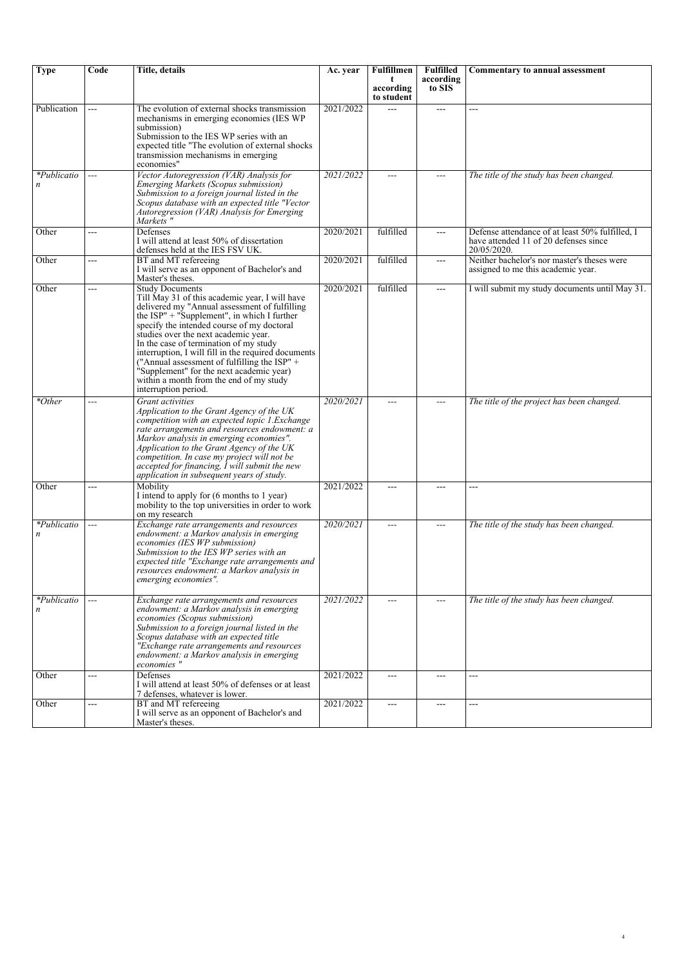| <b>Type</b>      | Code  | Title, details                                                                                                                                                                                                                                                                                                                                                                                                                                                                                                                 | Ac. year  | Fulfillmen                   | <b>Fulfilled</b>    | Commentary to annual assessment                                                                         |
|------------------|-------|--------------------------------------------------------------------------------------------------------------------------------------------------------------------------------------------------------------------------------------------------------------------------------------------------------------------------------------------------------------------------------------------------------------------------------------------------------------------------------------------------------------------------------|-----------|------------------------------|---------------------|---------------------------------------------------------------------------------------------------------|
|                  |       |                                                                                                                                                                                                                                                                                                                                                                                                                                                                                                                                |           | t<br>according<br>to student | according<br>to SIS |                                                                                                         |
| Publication      | $---$ | The evolution of external shocks transmission<br>mechanisms in emerging economies (IES WP<br>submission)<br>Submission to the IES WP series with an<br>expected title "The evolution of external shocks<br>transmission mechanisms in emerging<br>economies"                                                                                                                                                                                                                                                                   | 2021/2022 | $\sim$                       | $---$               | ---                                                                                                     |
| *Publicatio<br>n | $---$ | Vector Autoregression (VAR) Analysis for<br>Emerging Markets (Scopus submission)<br>Submission to a foreign journal listed in the<br>Scopus database with an expected title "Vector<br>Autoregression (VAR) Analysis for Emerging<br>Markets "                                                                                                                                                                                                                                                                                 | 2021/2022 | $---$                        | ---                 | The title of the study has been changed.                                                                |
| Other            | $---$ | Defenses<br>I will attend at least 50% of dissertation<br>defenses held at the IES FSV UK.                                                                                                                                                                                                                                                                                                                                                                                                                                     | 2020/2021 | fulfilled                    | $---$               | Defense attendance of at least 50% fulfilled, I<br>have attended 11 of 20 defenses since<br>20/05/2020. |
| Other            | ---   | BT and MT refereeing<br>I will serve as an opponent of Bachelor's and<br>Master's theses.                                                                                                                                                                                                                                                                                                                                                                                                                                      | 2020/2021 | fulfilled                    | ---                 | Neither bachelor's nor master's theses were<br>assigned to me this academic year.                       |
| Other            | $---$ | <b>Study Documents</b><br>Till May 31 of this academic year, I will have<br>delivered my "Annual assessment of fulfilling<br>the ISP" + "Supplement", in which I further<br>specify the intended course of my doctoral<br>studies over the next academic year.<br>In the case of termination of my study<br>interruption, I will fill in the required documents<br>("Annual assessment of fulfilling the ISP" +<br>"Supplement" for the next academic year)<br>within a month from the end of my study<br>interruption period. | 2020/2021 | fulfilled                    | ---                 | I will submit my study documents until May 31.                                                          |
| *Other           | $---$ | Grant activities<br>Application to the Grant Agency of the UK<br>competition with an expected topic 1.Exchange<br>rate arrangements and resources endowment: a<br>Markov analysis in emerging economies".<br>Application to the Grant Agency of the UK<br>competition. In case my project will not be<br>accepted for financing, I will submit the new<br>application in subsequent years of study.                                                                                                                            | 2020/2021 | $---$                        | ---                 | The title of the project has been changed.                                                              |
| Other            | $---$ | Mobility<br>I intend to apply for (6 months to 1 year)<br>mobility to the top universities in order to work<br>on my research                                                                                                                                                                                                                                                                                                                                                                                                  | 2021/2022 | $---$                        | $---$               | ---                                                                                                     |
| *Publicatio<br>n | $---$ | Exchange rate arrangements and resources<br>endowment: a Markov analysis in emerging<br>economies (IES WP submission)<br>Submission to the IES WP series with an<br>expected title "Exchange rate arrangements and<br>resources endowment: a Markov analysis in<br>emerging economies".                                                                                                                                                                                                                                        | 2020/2021 | $---$                        | $---$               | The title of the study has been changed.                                                                |
| *Publicatio<br>n | $---$ | Exchange rate arrangements and resources<br>endowment: a Markov analysis in emerging<br>economies (Scopus submission)<br>Submission to a foreign journal listed in the<br>Scopus database with an expected title<br>"Exchange rate arrangements and resources<br>endowment: a Markov analysis in emerging<br>economies"                                                                                                                                                                                                        | 2021/2022 | $---$                        | $---$               | The title of the study has been changed.                                                                |
| Other            | ---   | Defenses<br>I will attend at least 50% of defenses or at least<br>7 defenses, whatever is lower.                                                                                                                                                                                                                                                                                                                                                                                                                               | 2021/2022 | $---$                        | ---                 | ---                                                                                                     |
| Other            | $---$ | BT and MT refereeing<br>I will serve as an opponent of Bachelor's and<br>Master's theses.                                                                                                                                                                                                                                                                                                                                                                                                                                      | 2021/2022 | $\qquad \qquad \text{---}$   | $---$               | ---                                                                                                     |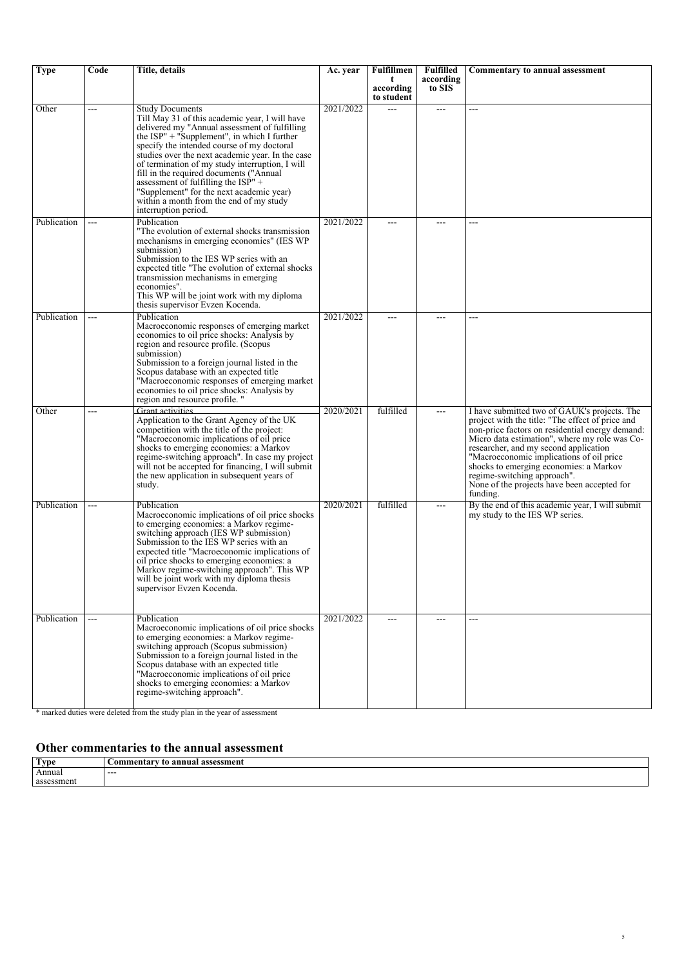| <b>Type</b> | Code | Title, details                                                                                                                                                                                                                                                                                                                                                                                                                                                                                                                        | Ac. year  | Fulfillmen                   | <b>Fulfilled</b>    | Commentary to annual assessment                                                                                                                                                                                                                                                                                                                                                                                               |
|-------------|------|---------------------------------------------------------------------------------------------------------------------------------------------------------------------------------------------------------------------------------------------------------------------------------------------------------------------------------------------------------------------------------------------------------------------------------------------------------------------------------------------------------------------------------------|-----------|------------------------------|---------------------|-------------------------------------------------------------------------------------------------------------------------------------------------------------------------------------------------------------------------------------------------------------------------------------------------------------------------------------------------------------------------------------------------------------------------------|
|             |      |                                                                                                                                                                                                                                                                                                                                                                                                                                                                                                                                       |           | t<br>according<br>to student | according<br>to SIS |                                                                                                                                                                                                                                                                                                                                                                                                                               |
| Other       | ---  | <b>Study Documents</b><br>Till May 31 of this academic year, I will have<br>delivered my "Annual assessment of fulfilling<br>the $ISP'' + "Supplement", in which I further$<br>specify the intended course of my doctoral<br>studies over the next academic year. In the case<br>of termination of my study interruption, I will<br>fill in the required documents ("Annual"<br>assessment of fulfilling the $ISP'' +$<br>"Supplement" for the next academic year)<br>within a month from the end of my study<br>interruption period. | 2021/2022 | $\sim$                       | $\overline{a}$      | ---                                                                                                                                                                                                                                                                                                                                                                                                                           |
| Publication | ---  | Publication<br>"The evolution of external shocks transmission"<br>mechanisms in emerging economies" (IES WP<br>submission)<br>Submission to the IES WP series with an<br>expected title "The evolution of external shocks<br>transmission mechanisms in emerging<br>economies".<br>This WP will be joint work with my diploma<br>thesis supervisor Evzen Kocenda.                                                                                                                                                                     | 2021/2022 | ---                          | ---                 | ---                                                                                                                                                                                                                                                                                                                                                                                                                           |
| Publication | ---  | Publication<br>Macroeconomic responses of emerging market<br>economies to oil price shocks: Analysis by<br>region and resource profile. (Scopus<br>submission)<br>Submission to a foreign journal listed in the<br>Scopus database with an expected title<br>"Macroeconomic responses of emerging market<br>economies to oil price shocks: Analysis by<br>region and resource profile.                                                                                                                                                | 2021/2022 |                              |                     | ---                                                                                                                                                                                                                                                                                                                                                                                                                           |
| Other       | ---  | <b>Grant activities</b><br>Application to the Grant Agency of the UK<br>competition with the title of the project:<br>"Macroeconomic implications of oil price<br>shocks to emerging economies: a Markov<br>regime-switching approach". In case my project<br>will not be accepted for financing, I will submit<br>the new application in subsequent years of<br>study.                                                                                                                                                               | 2020/2021 | fulfilled                    | $\overline{a}$      | I have submitted two of GAUK's projects. The<br>project with the title: "The effect of price and<br>non-price factors on residential energy demand:<br>Micro data estimation", where my role was Co-<br>researcher, and my second application<br>"Macroeconomic implications of oil price<br>shocks to emerging economies: a Markov<br>regime-switching approach".<br>None of the projects have been accepted for<br>funding. |
| Publication | ---  | Publication<br>Macroeconomic implications of oil price shocks<br>to emerging economies: a Markov regime-<br>switching approach (IES WP submission)<br>Submission to the IES WP series with an<br>expected title "Macroeconomic implications of<br>oil price shocks to emerging economies: a<br>Markov regime-switching approach". This WP<br>will be joint work with my diploma thesis<br>supervisor Evzen Kocenda.                                                                                                                   | 2020/2021 | fulfilled                    | $---$               | By the end of this academic year, I will submit<br>my study to the IES WP series.                                                                                                                                                                                                                                                                                                                                             |
| Publication | ---  | Publication<br>Macroeconomic implications of oil price shocks<br>to emerging economies: a Markov regime-<br>switching approach (Scopus submission)<br>Submission to a foreign journal listed in the<br>Scopus database with an expected title<br>"Macroeconomic implications of oil price"<br>shocks to emerging economies: a Markov<br>regime-switching approach".                                                                                                                                                                   | 2021/2022 | $---$                        | $---$               | ---                                                                                                                                                                                                                                                                                                                                                                                                                           |

*\* marked duties were deleted from the study plan in the year of assessment*

### *Other commentaries to the annual assessment*

| Tvpe       | to annual assessment /<br><b>∴ommentar</b> |
|------------|--------------------------------------------|
| Annual     | ---                                        |
| assessment |                                            |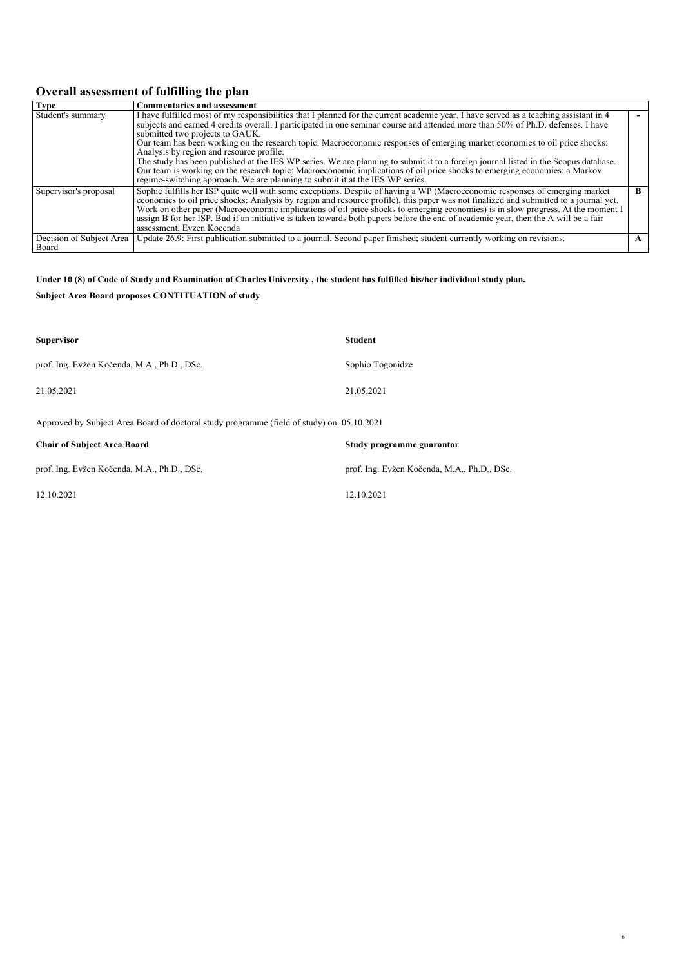## *Overall assessment of fulfilling the plan*

| <b>Type</b>                       | <b>Commentaries and assessment</b>                                                                                                                                                                                                                                                                                                                                                                                                                                                                                                                                                                                                                                                                                                                                                                                                          |   |
|-----------------------------------|---------------------------------------------------------------------------------------------------------------------------------------------------------------------------------------------------------------------------------------------------------------------------------------------------------------------------------------------------------------------------------------------------------------------------------------------------------------------------------------------------------------------------------------------------------------------------------------------------------------------------------------------------------------------------------------------------------------------------------------------------------------------------------------------------------------------------------------------|---|
| Student's summary                 | I have fulfilled most of my responsibilities that I planned for the current academic year. I have served as a teaching assistant in 4<br>subjects and earned 4 credits overall. I participated in one seminar course and attended more than 50% of Ph.D. defenses. I have<br>submitted two projects to GAUK.<br>Our team has been working on the research topic: Macroeconomic responses of emerging market economies to oil price shocks:<br>Analysis by region and resource profile.<br>The study has been published at the IES WP series. We are planning to submit it to a foreign journal listed in the Scopus database.<br>Our team is working on the research topic: Macroeconomic implications of oil price shocks to emerging economies: a Markov<br>regime-switching approach. We are planning to submit it at the IES WP series. |   |
| Supervisor's proposal             | Sophie fulfills her ISP quite well with some exceptions. Despite of having a WP (Macroeconomic responses of emerging market<br>economies to oil price shocks: Analysis by region and resource profile), this paper was not finalized and submitted to a journal yet.<br>Work on other paper (Macroeconomic implications of oil price shocks to emerging economies) is in slow progress. At the moment I<br>assign B for her ISP. Bud if an initiative is taken towards both papers before the end of academic year, then the A will be a fair<br>assessment. Evzen Kocenda                                                                                                                                                                                                                                                                  | R |
| Decision of Subject Area<br>Board | Update 26.9: First publication submitted to a journal. Second paper finished; student currently working on revisions.                                                                                                                                                                                                                                                                                                                                                                                                                                                                                                                                                                                                                                                                                                                       |   |

#### *Under 10 (8) of Code of Study and Examination of Charles University , the student has fulfilled his/her individual study plan.*

*Subject Area Board proposes CONTITUATION of study*

| <b>Supervisor</b>                                                                          | <b>Student</b>                              |
|--------------------------------------------------------------------------------------------|---------------------------------------------|
| prof. Ing. Evžen Kočenda, M.A., Ph.D., DSc.                                                | Sophio Togonidze                            |
| 21.05.2021                                                                                 | 21.05.2021                                  |
| Approved by Subject Area Board of doctoral study programme (field of study) on: 05.10.2021 |                                             |
| <b>Chair of Subject Area Board</b>                                                         | Study programme guarantor                   |
| prof. Ing. Evžen Kočenda, M.A., Ph.D., DSc.                                                | prof. Ing. Evžen Kočenda, M.A., Ph.D., DSc. |

*12.10.2021 12.10.2021*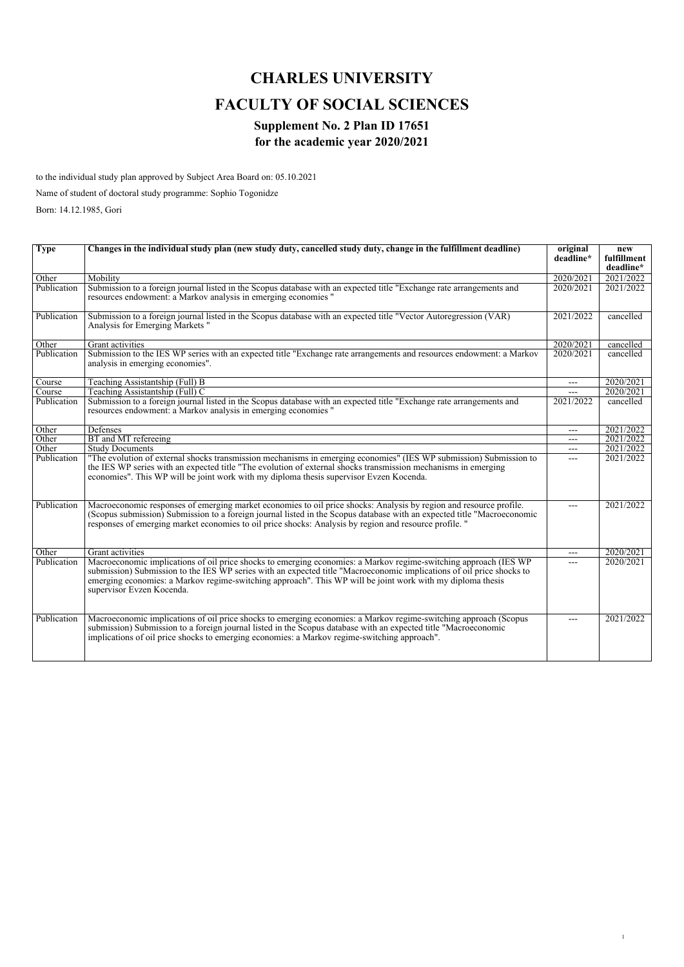# *CHARLES UNIVERSITY FACULTY OF SOCIAL SCIENCES*

## *Supplement No. 2 Plan ID 17651 for the academic year 2020/2021*

*to the individual study plan approved by Subject Area Board on: 05.10.2021*

*Name of student of doctoral study programme: Sophio Togonidze*

*Born: 14.12.1985, Gori*

| <b>Type</b> | Changes in the individual study plan (new study duty, cancelled study duty, change in the fulfillment deadline)                                                                                                                                                                                                                                                                       | original<br>deadline* | new<br>fulfillment |
|-------------|---------------------------------------------------------------------------------------------------------------------------------------------------------------------------------------------------------------------------------------------------------------------------------------------------------------------------------------------------------------------------------------|-----------------------|--------------------|
|             |                                                                                                                                                                                                                                                                                                                                                                                       |                       | deadline*          |
| Other       | Mobility                                                                                                                                                                                                                                                                                                                                                                              | 2020/2021             | 2021/2022          |
| Publication | Submission to a foreign journal listed in the Scopus database with an expected title "Exchange rate arrangements and                                                                                                                                                                                                                                                                  | 2020/2021             | 2021/2022          |
|             | resources endowment: a Markov analysis in emerging economies "                                                                                                                                                                                                                                                                                                                        |                       |                    |
| Publication | Submission to a foreign journal listed in the Scopus database with an expected title "Vector Autoregression (VAR)<br>Analysis for Emerging Markets "                                                                                                                                                                                                                                  | 2021/2022             | cancelled          |
| Other       | Grant activities                                                                                                                                                                                                                                                                                                                                                                      | 2020/2021             | cancelled          |
| Publication | Submission to the IES WP series with an expected title "Exchange rate arrangements and resources endowment: a Markov<br>analysis in emerging economies".                                                                                                                                                                                                                              | 2020/2021             | cancelled          |
| Course      | Teaching Assistantship (Full) B                                                                                                                                                                                                                                                                                                                                                       | $---$                 | 2020/2021          |
| Course      | Teaching Assistantship (Full) C                                                                                                                                                                                                                                                                                                                                                       |                       | 2020/2021          |
| Publication | Submission to a foreign journal listed in the Scopus database with an expected title "Exchange rate arrangements and<br>resources endowment: a Markov analysis in emerging economies "                                                                                                                                                                                                | 2021/2022             | cancelled          |
| Other       | Defenses                                                                                                                                                                                                                                                                                                                                                                              | $---$                 | 2021/2022          |
| Other       | BT and MT refereeing                                                                                                                                                                                                                                                                                                                                                                  | ---                   | 2021/2022          |
| Other       | <b>Study Documents</b>                                                                                                                                                                                                                                                                                                                                                                | ---                   | 2021/2022          |
| Publication | "The evolution of external shocks transmission mechanisms in emerging economies" (IES WP submission) Submission to<br>the IES WP series with an expected title "The evolution of external shocks transmission mechanisms in emerging<br>economies". This WP will be joint work with my diploma thesis supervisor Evzen Kocenda.                                                       | ---                   | 2021/2022          |
| Publication | Macroeconomic responses of emerging market economies to oil price shocks: Analysis by region and resource profile.<br>(Scopus submission) Submission to a foreign journal listed in the Scopus database with an expected title "Macroeconomic<br>responses of emerging market economies to oil price shocks: Analysis by region and resource profile. "                               | $---$                 | 2021/2022          |
| Other       | Grant activities                                                                                                                                                                                                                                                                                                                                                                      | ---                   | 2020/2021          |
| Publication | Macroeconomic implications of oil price shocks to emerging economies: a Markov regime-switching approach (IES WP)<br>submission) Submission to the IES WP series with an expected title "Macroeconomic implications of oil price shocks to<br>emerging economies: a Markov regime-switching approach". This WP will be joint work with my diploma thesis<br>supervisor Evzen Kocenda. | ---                   | 2020/2021          |
| Publication | Macroeconomic implications of oil price shocks to emerging economies: a Markov regime-switching approach (Scopus<br>submission) Submission to a foreign journal listed in the Scopus database with an expected title "Macroeconomic<br>implications of oil price shocks to emerging economies: a Markov regime-switching approach".                                                   | ---                   | 2021/2022          |